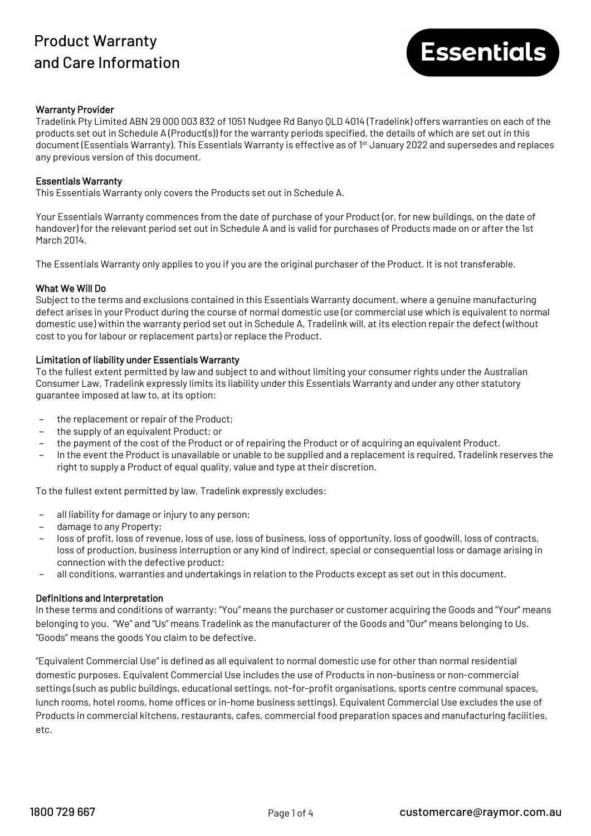# Product Warranty and Care Information



## Warranty Provider

Tradelink Pty Limited ABN 29 000 003 832 of 1051 Nudgee Rd Banyo QLD 4014 (Tradelink) offers warranties on each of the products set out in Schedule A (Product(s)) for the warranty periods specified, the details of which are set out in this document (Essentials Warranty). This Essentials Warranty is effective as of 1<sup>st</sup> January 2022 and supersedes and replaces any previous version of this document.

### Essentials Warranty

This Essentials Warranty only covers the Products set out in Schedule A.

Your Essentials Warranty commences from the date of purchase of your Product (or, for new buildings, on the date of handover) for the relevant period set out in Schedule A and is valid for purchases of Products made on or after the 1st March 2014.

The Essentials Warranty only applies to you if you are the original purchaser of the Product. It is not transferable.

#### What We Will Do

Subject to the terms and exclusions contained in this Essentials Warranty document, where a genuine manufacturing defect arises in your Product during the course of normal domestic use (or commercial use which is equivalent to normal domestic use) within the warranty period set out in Schedule A, Tradelink will, at its election repair the defect (without cost to you for labour or replacement parts) or replace the Product.

## Limitation of liability under Essentials Warranty

To the fullest extent permitted by law and subject to and without limiting your consumer rights under the Australian Consumer Law, Tradelink expressly limits its liability under this Essentials Warranty and under any other statutory guarantee imposed at law to, at its option:

- the replacement or repair of the Product;
- − the supply of an equivalent Product; or
- − the payment of the cost of the Product or of repairing the Product or of acquiring an equivalent Product.
- − In the event the Product is unavailable or unable to be supplied and a replacement is required, Tradelink reserves the right to supply a Product of equal quality, value and type at their discretion.

To the fullest extent permitted by law, Tradelink expressly excludes:

- all liability for damage or injury to any person;
- damage to any Property;
- − loss of profit, loss of revenue, loss of use, loss of business, loss of opportunity, loss of goodwill, loss of contracts, loss of production, business interruption or any kind of indirect, special or consequential loss or damage arising in connection with the defective product;
- − all conditions, warranties and undertakings in relation to the Products except as set out in this document.

## Definitions and Interpretation

In these terms and conditions of warranty: "You" means the purchaser or customer acquiring the Goods and "Your" means belonging to you. "We" and "Us" means Tradelink as the manufacturer of the Goods and "Our" means belonging to Us. "Goods" means the goods You claim to be defective.

"Equivalent Commercial Use" is defined as all equivalent to normal domestic use for other than normal residential domestic purposes. Equivalent Commercial Use includes the use of Products in non-business or non-commercial settings (such as public buildings, educational settings, not-for-profit organisations, sports centre communal spaces, lunch rooms, hotel rooms, home offices or in-home business settings). Equivalent Commercial Use excludes the use of Products in commercial kitchens, restaurants, cafes, commercial food preparation spaces and manufacturing facilities, etc.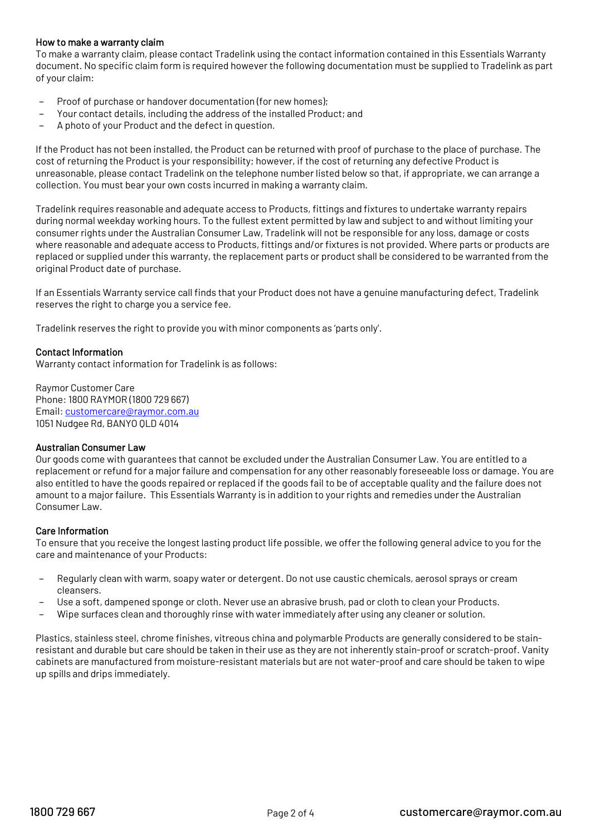## How to make a warranty claim

To make a warranty claim, please contact Tradelink using the contact information contained in this Essentials Warranty document. No specific claim form is required however the following documentation must be supplied to Tradelink as part of your claim:

- Proof of purchase or handover documentation (for new homes);
- Your contact details, including the address of the installed Product; and
- A photo of your Product and the defect in question.

If the Product has not been installed, the Product can be returned with proof of purchase to the place of purchase. The cost of returning the Product is your responsibility; however, if the cost of returning any defective Product is unreasonable, please contact Tradelink on the telephone number listed below so that, if appropriate, we can arrange a collection. You must bear your own costs incurred in making a warranty claim.

Tradelink requires reasonable and adequate access to Products, fittings and fixtures to undertake warranty repairs during normal weekday working hours. To the fullest extent permitted by law and subject to and without limiting your consumer rights under the Australian Consumer Law, Tradelink will not be responsible for any loss, damage or costs where reasonable and adequate access to Products, fittings and/or fixtures is not provided. Where parts or products are replaced or supplied under this warranty, the replacement parts or product shall be considered to be warranted from the original Product date of purchase.

If an Essentials Warranty service call finds that your Product does not have a genuine manufacturing defect, Tradelink reserves the right to charge you a service fee.

Tradelink reserves the right to provide you with minor components as 'parts only'.

## Contact Information

Warranty contact information for Tradelink is as follows:

Raymor Customer Care Phone: 1800 RAYMOR (1800 729 667) Email[: customercare@raymor.com.au](mailto:customercare@raymor.com.au) 1051 Nudgee Rd, BANYO QLD 4014

#### Australian Consumer Law

Our goods come with guarantees that cannot be excluded under the Australian Consumer Law. You are entitled to a replacement or refund for a major failure and compensation for any other reasonably foreseeable loss or damage. You are also entitled to have the goods repaired or replaced if the goods fail to be of acceptable quality and the failure does not amount to a major failure. This Essentials Warranty is in addition to your rights and remedies under the Australian Consumer Law.

## Care Information

To ensure that you receive the longest lasting product life possible, we offer the following general advice to you for the care and maintenance of your Products:

- − Regularly clean with warm, soapy water or detergent. Do not use caustic chemicals, aerosol sprays or cream cleansers.
- Use a soft, dampened sponge or cloth. Never use an abrasive brush, pad or cloth to clean your Products.
- Wipe surfaces clean and thoroughly rinse with water immediately after using any cleaner or solution.

Plastics, stainless steel, chrome finishes, vitreous china and polymarble Products are generally considered to be stainresistant and durable but care should be taken in their use as they are not inherently stain-proof or scratch-proof. Vanity cabinets are manufactured from moisture-resistant materials but are not water-proof and care should be taken to wipe up spills and drips immediately.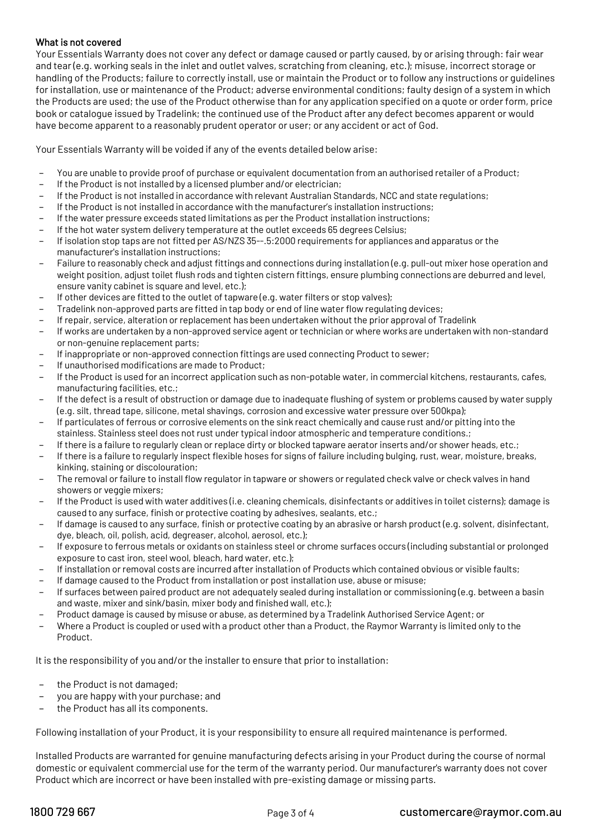## What is not covered

Your Essentials Warranty does not cover any defect or damage caused or partly caused, by or arising through: fair wear and tear (e.g. working seals in the inlet and outlet valves, scratching from cleaning, etc.); misuse, incorrect storage or handling of the Products; failure to correctly install, use or maintain the Product or to follow any instructions or guidelines for installation, use or maintenance of the Product; adverse environmental conditions; faulty design of a system in which the Products are used; the use of the Product otherwise than for any application specified on a quote or order form, price book or catalogue issued by Tradelink; the continued use of the Product after any defect becomes apparent or would have become apparent to a reasonably prudent operator or user; or any accident or act of God.

Your Essentials Warranty will be voided if any of the events detailed below arise:

- You are unable to provide proof of purchase or equivalent documentation from an authorised retailer of a Product;
- If the Product is not installed by a licensed plumber and/or electrician;
- − If the Product is not installed in accordance with relevant Australian Standards, NCC and state regulations;
- − If the Product is not installed in accordance with the manufacturer's installation instructions;
- − If the water pressure exceeds stated limitations as per the Product installation instructions;
- − If the hot water system delivery temperature at the outlet exceeds 65 degrees Celsius;
- − If isolation stop taps are not fitted per AS/NZS 35--.5:2000 requirements for appliances and apparatus or the manufacturer's installation instructions;
- − Failure to reasonably check and adjust fittings and connections during installation (e.g. pull-out mixer hose operation and weight position, adjust toilet flush rods and tighten cistern fittings, ensure plumbing connections are deburred and level, ensure vanity cabinet is square and level, etc.);
- If other devices are fitted to the outlet of tapware (e.g. water filters or stop valves);
- Tradelink non-approved parts are fitted in tap body or end of line water flow regulating devices;
- − If repair, service, alteration or replacement has been undertaken without the prior approval of Tradelink
- If works are undertaken by a non-approved service agent or technician or where works are undertaken with non-standard or non-genuine replacement parts;
- − If inappropriate or non-approved connection fittings are used connecting Product to sewer;
- − If unauthorised modifications are made to Product;
- − If the Product is used for an incorrect application such as non-potable water, in commercial kitchens, restaurants, cafes, manufacturing facilities, etc.;
- − If the defect is a result of obstruction or damage due to inadequate flushing of system or problems caused by water supply (e.g. silt, thread tape, silicone, metal shavings, corrosion and excessive water pressure over 500kpa);
- − If particulates of ferrous or corrosive elements on the sink react chemically and cause rust and/or pitting into the stainless. Stainless steel does not rust under typical indoor atmospheric and temperature conditions.;
	- − If there is a failure to regularly clean or replace dirty or blocked tapware aerator inserts and/or shower heads, etc.;
- If there is a failure to regularly inspect flexible hoses for signs of failure including bulging, rust, wear, moisture, breaks, kinking, staining or discolouration;
- The removal or failure to install flow regulator in tapware or showers or regulated check valve or check valves in hand showers or veggie mixers;
- − If the Product is used with water additives (i.e. cleaning chemicals, disinfectants or additives in toilet cisterns); damage is caused to any surface, finish or protective coating by adhesives, sealants, etc.;
- − If damage is caused to any surface, finish or protective coating by an abrasive or harsh product (e.g. solvent, disinfectant, dye, bleach, oil, polish, acid, degreaser, alcohol, aerosol, etc.);
- − If exposure to ferrous metals or oxidants on stainless steel or chrome surfaces occurs (including substantial or prolonged exposure to cast iron, steel wool, bleach, hard water, etc.);
- − If installation or removal costs are incurred after installation of Products which contained obvious or visible faults;
- − If damage caused to the Product from installation or post installation use, abuse or misuse;
- − If surfaces between paired product are not adequately sealed during installation or commissioning (e.g. between a basin and waste, mixer and sink/basin, mixer body and finished wall, etc.);
- − Product damage is caused by misuse or abuse, as determined by a Tradelink Authorised Service Agent; or
- − Where a Product is coupled or used with a product other than a Product, the Raymor Warranty is limited only to the Product.

It is the responsibility of you and/or the installer to ensure that prior to installation:

- the Product is not damaged;
- you are happy with your purchase; and
- the Product has all its components.

Following installation of your Product, it is your responsibility to ensure all required maintenance is performed.

Installed Products are warranted for genuine manufacturing defects arising in your Product during the course of normal domestic or equivalent commercial use for the term of the warranty period. Our manufacturer's warranty does not cover Product which are incorrect or have been installed with pre-existing damage or missing parts.